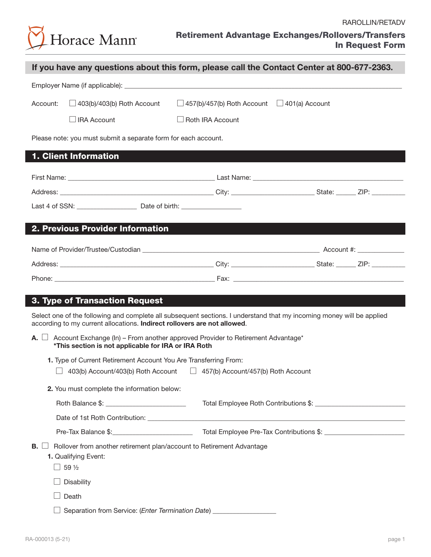

| If you have any questions about this form, please call the Contact Center at 800-677-2363. |                                                                                                              |                                                                                                                                                                                                          |  |  |  |  |
|--------------------------------------------------------------------------------------------|--------------------------------------------------------------------------------------------------------------|----------------------------------------------------------------------------------------------------------------------------------------------------------------------------------------------------------|--|--|--|--|
|                                                                                            |                                                                                                              |                                                                                                                                                                                                          |  |  |  |  |
| Account:                                                                                   | $\Box$ 403(b)/403(b) Roth Account                                                                            | $\Box$ 457(b)/457(b) Roth Account $\Box$ 401(a) Account                                                                                                                                                  |  |  |  |  |
|                                                                                            | $\Box$ IRA Account                                                                                           | $\Box$ Roth IRA Account                                                                                                                                                                                  |  |  |  |  |
|                                                                                            | Please note: you must submit a separate form for each account.                                               |                                                                                                                                                                                                          |  |  |  |  |
|                                                                                            | 1. Client Information                                                                                        |                                                                                                                                                                                                          |  |  |  |  |
|                                                                                            |                                                                                                              |                                                                                                                                                                                                          |  |  |  |  |
|                                                                                            |                                                                                                              |                                                                                                                                                                                                          |  |  |  |  |
|                                                                                            |                                                                                                              |                                                                                                                                                                                                          |  |  |  |  |
|                                                                                            | 2. Previous Provider Information                                                                             |                                                                                                                                                                                                          |  |  |  |  |
|                                                                                            |                                                                                                              |                                                                                                                                                                                                          |  |  |  |  |
|                                                                                            |                                                                                                              |                                                                                                                                                                                                          |  |  |  |  |
|                                                                                            |                                                                                                              |                                                                                                                                                                                                          |  |  |  |  |
| A. L                                                                                       | according to my current allocations. Indirect rollovers are not allowed.                                     | Select one of the following and complete all subsequent sections. I understand that my incoming money will be applied<br>Account Exchange (In) – From another approved Provider to Retirement Advantage* |  |  |  |  |
|                                                                                            | *This section is not applicable for IRA or IRA Roth                                                          |                                                                                                                                                                                                          |  |  |  |  |
| $\Box$                                                                                     | 1. Type of Current Retirement Account You Are Transferring From:                                             | 403(b) Account/403(b) Roth Account   457(b) Account/457(b) Roth Account                                                                                                                                  |  |  |  |  |
|                                                                                            |                                                                                                              |                                                                                                                                                                                                          |  |  |  |  |
|                                                                                            | 2. You must complete the information below:                                                                  |                                                                                                                                                                                                          |  |  |  |  |
|                                                                                            |                                                                                                              |                                                                                                                                                                                                          |  |  |  |  |
|                                                                                            | Pre-Tax Balance \$: ____________________________                                                             |                                                                                                                                                                                                          |  |  |  |  |
| B.                                                                                         | Rollover from another retirement plan/account to Retirement Advantage<br>1. Qualifying Event:<br>$\Box$ 59 ½ |                                                                                                                                                                                                          |  |  |  |  |
|                                                                                            | Disability                                                                                                   |                                                                                                                                                                                                          |  |  |  |  |
|                                                                                            | Death                                                                                                        |                                                                                                                                                                                                          |  |  |  |  |
|                                                                                            | Separation from Service: (Enter Termination Date) _________                                                  |                                                                                                                                                                                                          |  |  |  |  |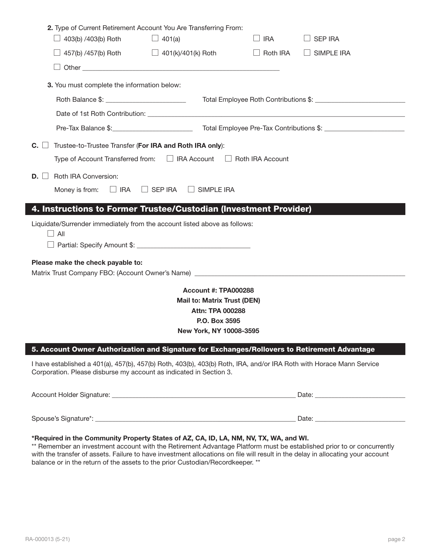| $\Box$ 403(b) /403(b) Roth                                                                                                                                                                 | 2. Type of Current Retirement Account You Are Transferring From:<br>$\Box$ 401(a) | $\Box$ IRA      | <b>SEP IRA</b>    |
|--------------------------------------------------------------------------------------------------------------------------------------------------------------------------------------------|-----------------------------------------------------------------------------------|-----------------|-------------------|
|                                                                                                                                                                                            | 457(b) /457(b) Roth $\Box$ 401(k)/401(k) Roth                                     | $\Box$ Roth IRA | $\Box$ SIMPLE IRA |
|                                                                                                                                                                                            |                                                                                   |                 |                   |
| 3. You must complete the information below:                                                                                                                                                |                                                                                   |                 |                   |
| Roth Balance \$: __________________________                                                                                                                                                |                                                                                   |                 |                   |
|                                                                                                                                                                                            |                                                                                   |                 |                   |
|                                                                                                                                                                                            |                                                                                   |                 |                   |
| $C. \Box$                                                                                                                                                                                  | Trustee-to-Trustee Transfer (For IRA and Roth IRA only):                          |                 |                   |
|                                                                                                                                                                                            | Type of Account Transferred from: □ IRA Account □ Roth IRA Account                |                 |                   |
| Roth IRA Conversion:<br>$D. \perp$                                                                                                                                                         |                                                                                   |                 |                   |
|                                                                                                                                                                                            | Money is from: $\Box$ IRA $\Box$ SEP IRA $\Box$ SIMPLE IRA                        |                 |                   |
| 4. Instructions to Former Trustee/Custodian (Investment Provider)                                                                                                                          |                                                                                   |                 |                   |
| $\Box$ All<br>Please make the check payable to:<br>Matrix Trust Company FBO: (Account Owner's Name) ________________________________                                                       |                                                                                   |                 |                   |
|                                                                                                                                                                                            | <b>Account #: TPA000288</b>                                                       |                 |                   |
|                                                                                                                                                                                            | <b>Mail to: Matrix Trust (DEN)</b>                                                |                 |                   |
|                                                                                                                                                                                            | <b>Attn: TPA 000288</b><br>P.O. Box 3595                                          |                 |                   |
|                                                                                                                                                                                            | New York, NY 10008-3595                                                           |                 |                   |
| 5. Account Owner Authorization and Signature for Exchanges/Rollovers to Retirement Advantage                                                                                               |                                                                                   |                 |                   |
| I have established a 401(a), 457(b), 457(b) Roth, 403(b), 403(b) Roth, IRA, and/or IRA Roth with Horace Mann Service<br>Corporation. Please disburse my account as indicated in Section 3. |                                                                                   |                 |                   |
|                                                                                                                                                                                            |                                                                                   |                 |                   |
|                                                                                                                                                                                            |                                                                                   |                 |                   |
| *Required in the Community Property States of AZ, CA, ID, LA, NM, NV, TX, WA, and WI.                                                                                                      |                                                                                   |                 |                   |

\*\* Remember an investment account with the Retirement Advantage Platform must be established prior to or concurrently with the transfer of assets. Failure to have investment allocations on file will result in the delay in allocating your account balance or in the return of the assets to the prior Custodian/Recordkeeper. \*\*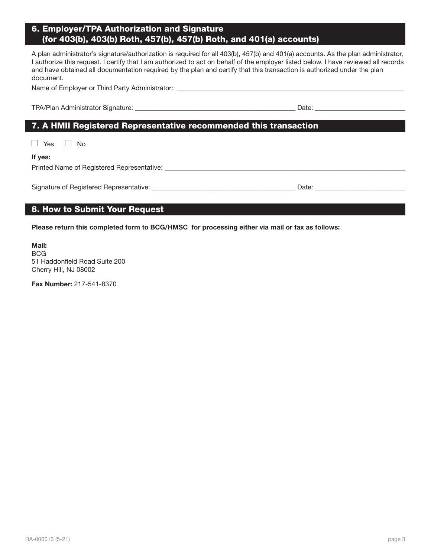# 6. Employer/TPA Authorization and Signature (for 403(b), 403(b) Roth, 457(b), 457(b) Roth, and 401(a) accounts)

A plan administrator's signature/authorization is required for all 403(b), 457(b) and 401(a) accounts. As the plan administrator, I authorize this request. I certify that I am authorized to act on behalf of the employer listed below. I have reviewed all records and have obtained all documentation required by the plan and certify that this transaction is authorized under the plan document.

Name of Employer or Third Party Administrator: \_\_\_\_\_\_\_\_\_\_\_\_\_\_\_\_\_\_\_\_\_\_\_\_\_\_\_\_\_\_\_\_\_

TPA/Plan Administrator Signature: \_\_\_\_\_\_\_\_\_\_\_\_\_\_\_\_\_\_\_\_\_\_\_\_\_\_\_\_\_\_\_\_\_\_\_\_\_\_\_\_\_\_\_\_\_\_\_\_ Date: \_\_\_\_\_\_\_\_\_\_\_\_\_\_\_\_\_\_\_\_\_\_\_\_\_\_\_

# 7. A HMII Registered Representative recommended this transaction

 $\Box$  Yes  $\Box$  No

# If yes:

Printed Name of Registered Representative: \_\_\_\_\_\_\_\_\_\_\_\_\_\_\_\_\_\_\_\_\_\_\_\_\_\_\_\_\_\_\_\_\_\_\_\_\_\_\_\_\_\_\_\_\_\_\_\_\_\_\_\_\_\_\_\_\_\_\_\_\_\_\_\_\_\_\_\_\_\_\_\_

Signature of Registered Representative: \_\_\_\_\_\_\_\_\_\_\_\_\_\_\_\_\_\_\_\_\_\_\_\_\_\_\_\_\_\_\_\_\_\_\_\_\_\_\_\_\_\_\_ Date: \_\_\_\_\_\_\_\_\_\_\_\_\_\_\_\_\_\_\_\_\_\_\_\_\_\_\_  $\Box$ 

# 8. How to Submit Your Request

Please return this completed form to BCG/HMSC for processing either via mail or fax as follows:

Mail: BCG 51 Haddonfield Road Suite 200 Cherry Hill, NJ 08002

Fax Number: 217-541-8370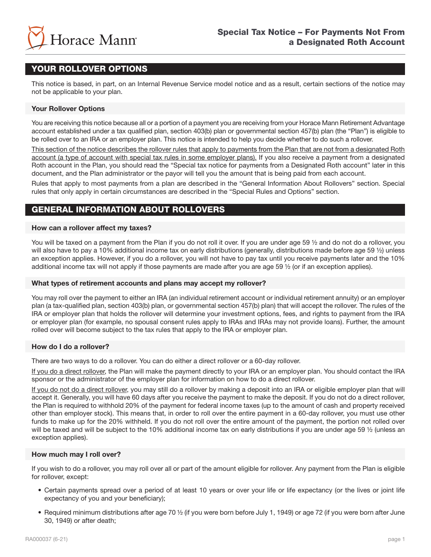

# YOUR ROLLOVER OPTIONS

This notice is based, in part, on an Internal Revenue Service model notice and as a result, certain sections of the notice may not be applicable to your plan.

# Your Rollover Options

You are receiving this notice because all or a portion of a payment you are receiving from your Horace Mann Retirement Advantage account established under a tax qualified plan, section 403(b) plan or governmental section 457(b) plan (the "Plan") is eligible to be rolled over to an IRA or an employer plan. This notice is intended to help you decide whether to do such a rollover.

This section of the notice describes the rollover rules that apply to payments from the Plan that are not from a designated Roth account (a type of account with special tax rules in some employer plans). If you also receive a payment from a designated Roth account in the Plan, you should read the "Special tax notice for payments from a Designated Roth account" later in this document, and the Plan administrator or the payor will tell you the amount that is being paid from each account.

Rules that apply to most payments from a plan are described in the "General Information About Rollovers" section. Special rules that only apply in certain circumstances are described in the "Special Rules and Options" section.

# GENERAL INFORMATION ABOUT ROLLOVERS

# How can a rollover affect my taxes?

You will be taxed on a payment from the Plan if you do not roll it over. If you are under age 59 1/2 and do not do a rollover, you will also have to pay a 10% additional income tax on early distributions (generally, distributions made before age 59 ½) unless an exception applies. However, if you do a rollover, you will not have to pay tax until you receive payments later and the 10% additional income tax will not apply if those payments are made after you are age 59 ½ (or if an exception applies).

### What types of retirement accounts and plans may accept my rollover?

You may roll over the payment to either an IRA (an individual retirement account or individual retirement annuity) or an employer plan (a tax-qualified plan, section 403(b) plan, or governmental section 457(b) plan) that will accept the rollover. The rules of the IRA or employer plan that holds the rollover will determine your investment options, fees, and rights to payment from the IRA or employer plan (for example, no spousal consent rules apply to IRAs and IRAs may not provide loans). Further, the amount rolled over will become subject to the tax rules that apply to the IRA or employer plan.

### How do I do a rollover?

There are two ways to do a rollover. You can do either a direct rollover or a 60-day rollover.

If you do a direct rollover, the Plan will make the payment directly to your IRA or an employer plan. You should contact the IRA sponsor or the administrator of the employer plan for information on how to do a direct rollover.

If you do not do a direct rollover, you may still do a rollover by making a deposit into an IRA or eligible employer plan that will accept it. Generally, you will have 60 days after you receive the payment to make the deposit. If you do not do a direct rollover, the Plan is required to withhold 20% of the payment for federal income taxes (up to the amount of cash and property received other than employer stock). This means that, in order to roll over the entire payment in a 60-day rollover, you must use other funds to make up for the 20% withheld. If you do not roll over the entire amount of the payment, the portion not rolled over will be taxed and will be subject to the 10% additional income tax on early distributions if you are under age 59  $\frac{1}{2}$  (unless an exception applies).

# How much may I roll over?

If you wish to do a rollover, you may roll over all or part of the amount eligible for rollover. Any payment from the Plan is eligible for rollover, except:

- Certain payments spread over a period of at least 10 years or over your life or life expectancy (or the lives or joint life expectancy of you and your beneficiary);
- Required minimum distributions after age 70 ½ (if you were born before July 1, 1949) or age 72 (if you were born after June 30, 1949) or after death;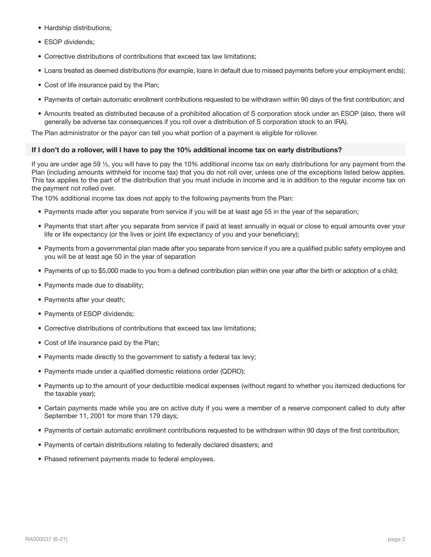- Hardship distributions;
- ESOP dividends;
- Corrective distributions of contributions that exceed tax law limitations;
- Loans treated as deemed distributions (for example, loans in default due to missed payments before your employment ends);
- Cost of life insurance paid by the Plan;
- Payments of certain automatic enrollment contributions requested to be withdrawn within 90 days of the first contribution; and
- Amounts treated as distributed because of a prohibited allocation of S corporation stock under an ESOP (also, there will generally be adverse tax consequences if you roll over a distribution of S corporation stock to an IRA).

The Plan administrator or the payor can tell you what portion of a payment is eligible for rollover.

### If I don't do a rollover, will I have to pay the 10% additional income tax on early distributions?

If you are under age 59 ½, you will have to pay the 10% additional income tax on early distributions for any payment from the Plan (including amounts withheld for income tax) that you do not roll over, unless one of the exceptions listed below applies. This tax applies to the part of the distribution that you must include in income and is in addition to the regular income tax on the payment not rolled over.

The 10% additional income tax does not apply to the following payments from the Plan:

- Payments made after you separate from service if you will be at least age 55 in the year of the separation;
- Payments that start after you separate from service if paid at least annually in equal or close to equal amounts over your life or life expectancy (or the lives or joint life expectancy of you and your beneficiary);
- Payments from a governmental plan made after you separate from service if you are a qualified public safety employee and you will be at least age 50 in the year of separation
- Payments of up to \$5,000 made to you from a defined contribution plan within one year after the birth or adoption of a child;
- Payments made due to disability;
- Payments after your death;
- Payments of ESOP dividends;
- Corrective distributions of contributions that exceed tax law limitations;
- Cost of life insurance paid by the Plan;
- Payments made directly to the government to satisfy a federal tax levy;
- Payments made under a qualified domestic relations order (QDRO);
- Payments up to the amount of your deductible medical expenses (without regard to whether you itemized deductions for the taxable year);
- Certain payments made while you are on active duty if you were a member of a reserve component called to duty after September 11, 2001 for more than 179 days;
- Payments of certain automatic enrollment contributions requested to be withdrawn within 90 days of the first contribution;
- Payments of certain distributions relating to federally declared disasters; and
- Phased retirement payments made to federal employees.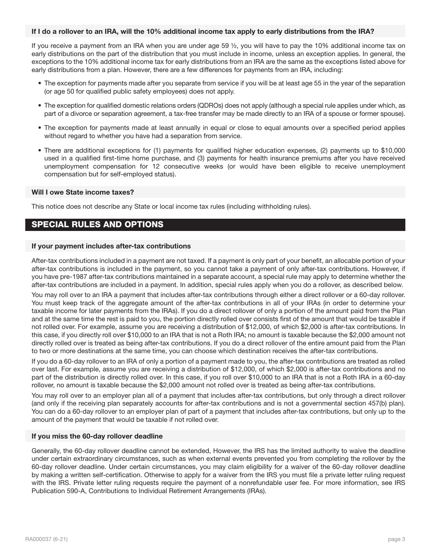# If I do a rollover to an IRA, will the 10% additional income tax apply to early distributions from the IRA?

If you receive a payment from an IRA when you are under age 59 ½, you will have to pay the 10% additional income tax on early distributions on the part of the distribution that you must include in income, unless an exception applies. In general, the exceptions to the 10% additional income tax for early distributions from an IRA are the same as the exceptions listed above for early distributions from a plan. However, there are a few differences for payments from an IRA, including:

- The exception for payments made after you separate from service if you will be at least age 55 in the year of the separation (or age 50 for qualified public safety employees) does not apply.
- The exception for qualified domestic relations orders (QDROs) does not apply (although a special rule applies under which, as part of a divorce or separation agreement, a tax-free transfer may be made directly to an IRA of a spouse or former spouse).
- The exception for payments made at least annually in equal or close to equal amounts over a specified period applies without regard to whether you have had a separation from service.
- There are additional exceptions for (1) payments for qualified higher education expenses, (2) payments up to \$10,000 used in a qualified first-time home purchase, and (3) payments for health insurance premiums after you have received unemployment compensation for 12 consecutive weeks (or would have been eligible to receive unemployment compensation but for self-employed status).

#### Will I owe State income taxes?

This notice does not describe any State or local income tax rules (including withholding rules).

# SPECIAL RULES AND OPTIONS

#### If your payment includes after-tax contributions

After-tax contributions included in a payment are not taxed. If a payment is only part of your benefit, an allocable portion of your after-tax contributions is included in the payment, so you cannot take a payment of only after-tax contributions. However, if you have pre-1987 after-tax contributions maintained in a separate account, a special rule may apply to determine whether the after-tax contributions are included in a payment. In addition, special rules apply when you do a rollover, as described below.

You may roll over to an IRA a payment that includes after-tax contributions through either a direct rollover or a 60-day rollover. You must keep track of the aggregate amount of the after-tax contributions in all of your IRAs (in order to determine your taxable income for later payments from the IRAs). If you do a direct rollover of only a portion of the amount paid from the Plan and at the same time the rest is paid to you, the portion directly rolled over consists first of the amount that would be taxable if not rolled over. For example, assume you are receiving a distribution of \$12,000, of which \$2,000 is after-tax contributions. In this case, if you directly roll over \$10,000 to an IRA that is not a Roth IRA; no amount is taxable because the \$2,000 amount not directly rolled over is treated as being after-tax contributions. If you do a direct rollover of the entire amount paid from the Plan to two or more destinations at the same time, you can choose which destination receives the after-tax contributions.

If you do a 60-day rollover to an IRA of only a portion of a payment made to you, the after-tax contributions are treated as rolled over last. For example, assume you are receiving a distribution of \$12,000, of which \$2,000 is after-tax contributions and no part of the distribution is directly rolled over. In this case, if you roll over \$10,000 to an IRA that is not a Roth IRA in a 60-day rollover, no amount is taxable because the \$2,000 amount not rolled over is treated as being after-tax contributions.

You may roll over to an employer plan all of a payment that includes after-tax contributions, but only through a direct rollover (and only if the receiving plan separately accounts for after-tax contributions and is not a governmental section 457(b) plan). You can do a 60-day rollover to an employer plan of part of a payment that includes after-tax contributions, but only up to the amount of the payment that would be taxable if not rolled over.

### If you miss the 60-day rollover deadline

Generally, the 60-day rollover deadline cannot be extended, However, the IRS has the limited authority to waive the deadline under certain extraordinary circumstances, such as when external events prevented you from completing the rollover by the 60-day rollover deadline. Under certain circumstances, you may claim eligibility for a waiver of the 60-day rollover deadline by making a written self-certification. Otherwise to apply for a waiver from the IRS you must file a private letter ruling request with the IRS. Private letter ruling requests require the payment of a nonrefundable user fee. For more information, see IRS Publication 590-A, Contributions to Individual Retirement Arrangements (IRAs).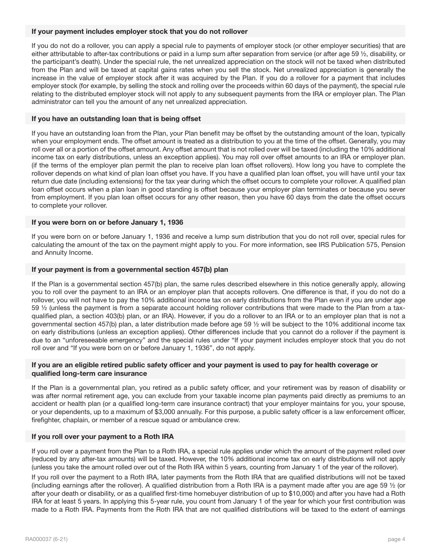# If your payment includes employer stock that you do not rollover

If you do not do a rollover, you can apply a special rule to payments of employer stock (or other employer securities) that are either attributable to after-tax contributions or paid in a lump sum after separation from service (or after age 59 ½, disability, or the participant's death). Under the special rule, the net unrealized appreciation on the stock will not be taxed when distributed from the Plan and will be taxed at capital gains rates when you sell the stock. Net unrealized appreciation is generally the increase in the value of employer stock after it was acquired by the Plan. If you do a rollover for a payment that includes employer stock (for example, by selling the stock and rolling over the proceeds within 60 days of the payment), the special rule relating to the distributed employer stock will not apply to any subsequent payments from the IRA or employer plan. The Plan administrator can tell you the amount of any net unrealized appreciation.

# If you have an outstanding loan that is being offset

If you have an outstanding loan from the Plan, your Plan benefit may be offset by the outstanding amount of the loan, typically when your employment ends. The offset amount is treated as a distribution to you at the time of the offset. Generally, you may roll over all or a portion of the offset amount. Any offset amount that is not rolled over will be taxed (including the 10% additional income tax on early distributions, unless an exception applies). You may roll over offset amounts to an IRA or employer plan. (if the terms of the employer plan permit the plan to receive plan loan offset rollovers). How long you have to complete the rollover depends on what kind of plan loan offset you have. If you have a qualified plan loan offset, you will have until your tax return due date (including extensions) for the tax year during which the offset occurs to complete your rollover. A qualified plan loan offset occurs when a plan loan in good standing is offset because your employer plan terminates or because you sever from employment. If you plan loan offset occurs for any other reason, then you have 60 days from the date the offset occurs to complete your rollover.

# If you were born on or before January 1, 1936

If you were born on or before January 1, 1936 and receive a lump sum distribution that you do not roll over, special rules for calculating the amount of the tax on the payment might apply to you. For more information, see IRS Publication 575, Pension and Annuity Income.

# If your payment is from a governmental section 457(b) plan

If the Plan is a governmental section 457(b) plan, the same rules described elsewhere in this notice generally apply, allowing you to roll over the payment to an IRA or an employer plan that accepts rollovers. One difference is that, if you do not do a rollover, you will not have to pay the 10% additional income tax on early distributions from the Plan even if you are under age 59 ½ (unless the payment is from a separate account holding rollover contributions that were made to the Plan from a taxqualified plan, a section 403(b) plan, or an IRA). However, if you do a rollover to an IRA or to an employer plan that is not a governmental section 457(b) plan, a later distribution made before age 59 ½ will be subject to the 10% additional income tax on early distributions (unless an exception applies). Other differences include that you cannot do a rollover if the payment is due to an "unforeseeable emergency" and the special rules under "If your payment includes employer stock that you do not roll over and "If you were born on or before January 1, 1936", do not apply.

# If you are an eligible retired public safety officer and your payment is used to pay for health coverage or qualified long-term care insurance

If the Plan is a governmental plan, you retired as a public safety officer, and your retirement was by reason of disability or was after normal retirement age, you can exclude from your taxable income plan payments paid directly as premiums to an accident or health plan (or a qualified long-term care insurance contract) that your employer maintains for you, your spouse, or your dependents, up to a maximum of \$3,000 annually. For this purpose, a public safety officer is a law enforcement officer, firefighter, chaplain, or member of a rescue squad or ambulance crew.

### If you roll over your payment to a Roth IRA

If you roll over a payment from the Plan to a Roth IRA, a special rule applies under which the amount of the payment rolled over (reduced by any after-tax amounts) will be taxed. However, the 10% additional income tax on early distributions will not apply (unless you take the amount rolled over out of the Roth IRA within 5 years, counting from January 1 of the year of the rollover).

If you roll over the payment to a Roth IRA, later payments from the Roth IRA that are qualified distributions will not be taxed (including earnings after the rollover). A qualified distribution from a Roth IRA is a payment made after you are age 59 ½ (or after your death or disability, or as a qualified first-time homebuyer distribution of up to \$10,000) and after you have had a Roth IRA for at least 5 years. In applying this 5-year rule, you count from January 1 of the year for which your first contribution was made to a Roth IRA. Payments from the Roth IRA that are not qualified distributions will be taxed to the extent of earnings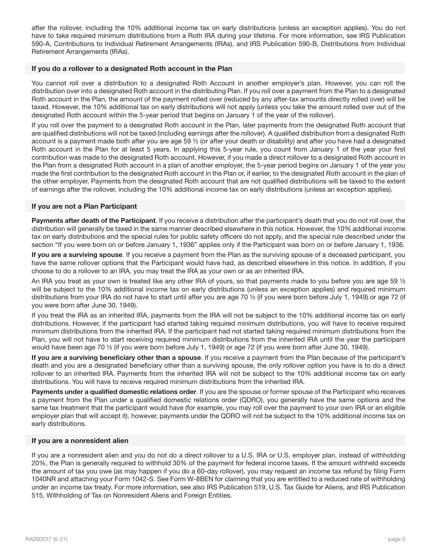after the rollover, including the 10% additional income tax on early distributions (unless an exception applies). You do not have to take required minimum distributions from a Roth IRA during your lifetime. For more information, see IRS Publication 590-A, Contributions to Individual Retirement Arrangements (IRAs), and IRS Publication 590-B, Distributions from Individual Retirement Arrangements (IRAs).

### If you do a rollover to a designated Roth account in the Plan

You cannot roll over a distribution to a designated Roth Account in another employer's plan. However, you can roll the distribution over into a designated Roth account in the distributing Plan. If you roll over a payment from the Plan to a designated Roth account in the Plan, the amount of the payment rolled over (reduced by any after-tax amounts directly rolled over) will be taxed. However, the 10% additional tax on early distributions will not apply (unless you take the amount rolled over out of the designated Roth account within the 5-year period that begins on January 1 of the year of the rollover).

If you roll over the payment to a designated Roth account in the Plan, later payments from the designated Roth account that are qualified distributions will not be taxed (including earnings after the rollover). A qualified distribution from a designated Roth account is a payment made both after you are age 59 ½ (or after your death or disability) and after you have had a designated Roth account in the Plan for at least 5 years. In applying this 5-year rule, you count from January 1 of the year your first contribution was made to the designated Roth account. However, if you made a direct rollover to a designated Roth account in the Plan from a designated Roth account in a plan of another employer, the 5-year period begins on January 1 of the year you made the first contribution to the designated Roth account in the Plan or, if earlier, to the designated Roth account in the plan of the other employer. Payments from the designated Roth account that are not qualified distributions will be taxed to the extent of earnings after the rollover, including the 10% additional income tax on early distributions (unless an exception applies).

# If you are not a Plan Participant

Payments after death of the Participant. If you receive a distribution after the participant's death that you do not roll over, the distribution will generally be taxed in the same manner described elsewhere in this notice. However, the 10% additional income tax on early distributions and the special rules for public safety officers do not apply, and the special rule described under the section "If you were born on or before January 1, 1936" applies only if the Participant was born on or before January 1, 1936.

If you are a surviving spouse. If you receive a payment from the Plan as the surviving spouse of a deceased participant, you have the same rollover options that the Participant would have had, as described elsewhere in this notice. In addition, if you choose to do a rollover to an IRA, you may treat the IRA as your own or as an inherited IRA.

An IRA you treat as your own is treated like any other IRA of yours, so that payments made to you before you are age 59  $\frac{1}{2}$ will be subject to the 10% additional income tax on early distributions (unless an exception applies) and required minimum distributions from your IRA do not have to start until after you are age 70 ½ (if you were born before July 1, 1949) or age 72 (if you were born after June 30, 1949).

If you treat the IRA as an inherited IRA, payments from the IRA will not be subject to the 10% additional income tax on early distributions. However, if the participant had started taking required minimum distributions, you will have to receive required minimum distributions from the inherited IRA. If the participant had not started taking required minimum distributions from the Plan, you will not have to start receiving required minimum distributions from the inherited IRA until the year the participant would have been age 70 ½ (if you were born before July 1, 1949) or age 72 (if you were born after June 30, 1949).

If you are a surviving beneficiary other than a spouse. If you receive a payment from the Plan because of the participant's death and you are a designated beneficiary other than a surviving spouse, the only rollover option you have is to do a direct rollover to an inherited IRA. Payments from the inherited IRA will not be subject to the 10% additional income tax on early distributions. You will have to receive required minimum distributions from the inherited IRA.

Payments under a qualified domestic relations order. If you are the spouse or former spouse of the Participant who receives a payment from the Plan under a qualified domestic relations order (QDRO), you generally have the same options and the same tax treatment that the participant would have (for example, you may roll over the payment to your own IRA or an eligible employer plan that will accept it). however, payments under the QDRO will not be subject to the 10% additional income tax on early distributions.

### If you are a nonresident alien

If you are a nonresident alien and you do not do a direct rollover to a U.S. IRA or U.S. employer plan, instead of withholding 20%, the Plan is generally required to withhold 30% of the payment for federal income taxes. If the amount withheld exceeds the amount of tax you owe (as may happen if you do a 60-day rollover), you may request an income tax refund by filing Form 1040NR and attaching your Form 1042-S. See Form W-8BEN for claiming that you are entitled to a reduced rate of withholding under an income tax treaty. For more information, see also IRS Publication 519, U.S. Tax Guide for Aliens, and IRS Publication 515, Withholding of Tax on Nonresident Aliens and Foreign Entities.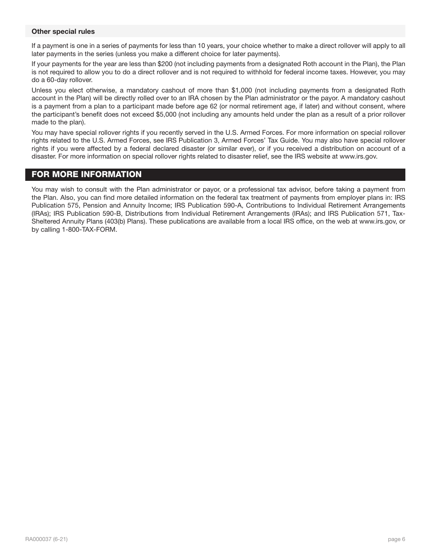# Other special rules

If a payment is one in a series of payments for less than 10 years, your choice whether to make a direct rollover will apply to all later payments in the series (unless you make a different choice for later payments).

If your payments for the year are less than \$200 (not including payments from a designated Roth account in the Plan), the Plan is not required to allow you to do a direct rollover and is not required to withhold for federal income taxes. However, you may do a 60-day rollover.

Unless you elect otherwise, a mandatory cashout of more than \$1,000 (not including payments from a designated Roth account in the Plan) will be directly rolled over to an IRA chosen by the Plan administrator or the payor. A mandatory cashout is a payment from a plan to a participant made before age 62 (or normal retirement age, if later) and without consent, where the participant's benefit does not exceed \$5,000 (not including any amounts held under the plan as a result of a prior rollover made to the plan).

You may have special rollover rights if you recently served in the U.S. Armed Forces. For more information on special rollover rights related to the U.S. Armed Forces, see IRS Publication 3, Armed Forces' Tax Guide. You may also have special rollover rights if you were affected by a federal declared disaster (or similar ever), or if you received a distribution on account of a disaster. For more information on special rollover rights related to disaster relief, see the IRS website at www.irs.gov.

# FOR MORE INFORMATION

You may wish to consult with the Plan administrator or payor, or a professional tax advisor, before taking a payment from the Plan. Also, you can find more detailed information on the federal tax treatment of payments from employer plans in: IRS Publication 575, Pension and Annuity Income; IRS Publication 590-A, Contributions to Individual Retirement Arrangements (IRAs); IRS Publication 590-B, Distributions from Individual Retirement Arrangements (IRAs); and IRS Publication 571, Tax-Sheltered Annuity Plans (403(b) Plans). These publications are available from a local IRS office, on the web at www.irs.gov, or by calling 1-800-TAX-FORM.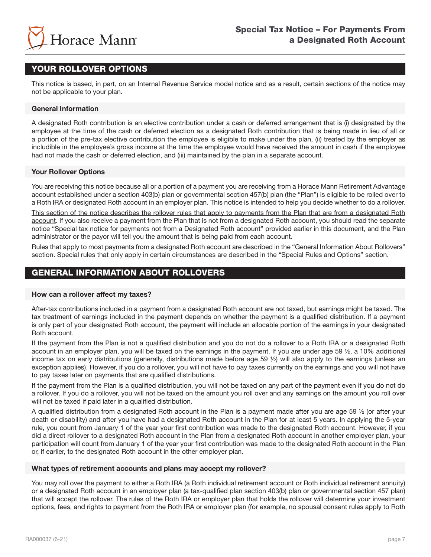

# YOUR ROLLOVER OPTIONS

This notice is based, in part, on an Internal Revenue Service model notice and as a result, certain sections of the notice may not be applicable to your plan.

# General Information

A designated Roth contribution is an elective contribution under a cash or deferred arrangement that is (i) designated by the employee at the time of the cash or deferred election as a designated Roth contribution that is being made in lieu of all or a portion of the pre-tax elective contribution the employee is eligible to make under the plan, (ii) treated by the employer as includible in the employee's gross income at the time the employee would have received the amount in cash if the employee had not made the cash or deferred election, and (iii) maintained by the plan in a separate account.

# Your Rollover Options

You are receiving this notice because all or a portion of a payment you are receiving from a Horace Mann Retirement Advantage account established under a section 403(b) plan or governmental section 457(b) plan (the "Plan") is eligible to be rolled over to a Roth IRA or designated Roth account in an employer plan. This notice is intended to help you decide whether to do a rollover.

This section of the notice describes the rollover rules that apply to payments from the Plan that are from a designated Roth account. If you also receive a payment from the Plan that is not from a designated Roth account, you should read the separate notice "Special tax notice for payments not from a Designated Roth account" provided earlier in this document, and the Plan administrator or the payor will tell you the amount that is being paid from each account.

Rules that apply to most payments from a designated Roth account are described in the "General Information About Rollovers" section. Special rules that only apply in certain circumstances are described in the "Special Rules and Options" section.

# GENERAL INFORMATION ABOUT ROLLOVERS

### How can a rollover affect my taxes?

After-tax contributions included in a payment from a designated Roth account are not taxed, but earnings might be taxed. The tax treatment of earnings included in the payment depends on whether the payment is a qualified distribution. If a payment is only part of your designated Roth account, the payment will include an allocable portion of the earnings in your designated Roth account.

If the payment from the Plan is not a qualified distribution and you do not do a rollover to a Roth IRA or a designated Roth account in an employer plan, you will be taxed on the earnings in the payment. If you are under age 59  $\frac{1}{2}$ , a 10% additional income tax on early distributions (generally, distributions made before age 59 ½) will also apply to the earnings (unless an exception applies). However, if you do a rollover, you will not have to pay taxes currently on the earnings and you will not have to pay taxes later on payments that are qualified distributions.

If the payment from the Plan is a qualified distribution, you will not be taxed on any part of the payment even if you do not do a rollover. If you do a rollover, you will not be taxed on the amount you roll over and any earnings on the amount you roll over will not be taxed if paid later in a qualified distribution.

A qualified distribution from a designated Roth account in the Plan is a payment made after you are age 59 ½ (or after your death or disability) and after you have had a designated Roth account in the Plan for at least 5 years. In applying the 5-year rule, you count from January 1 of the year your first contribution was made to the designated Roth account. However, if you did a direct rollover to a designated Roth account in the Plan from a designated Roth account in another employer plan, your participation will count from January 1 of the year your first contribution was made to the designated Roth account in the Plan or, if earlier, to the designated Roth account in the other employer plan.

### What types of retirement accounts and plans may accept my rollover?

You may roll over the payment to either a Roth IRA (a Roth individual retirement account or Roth individual retirement annuity) or a designated Roth account in an employer plan (a tax-qualified plan section 403(b) plan or governmental section 457 plan) that will accept the rollover. The rules of the Roth IRA or employer plan that holds the rollover will determine your investment options, fees, and rights to payment from the Roth IRA or employer plan (for example, no spousal consent rules apply to Roth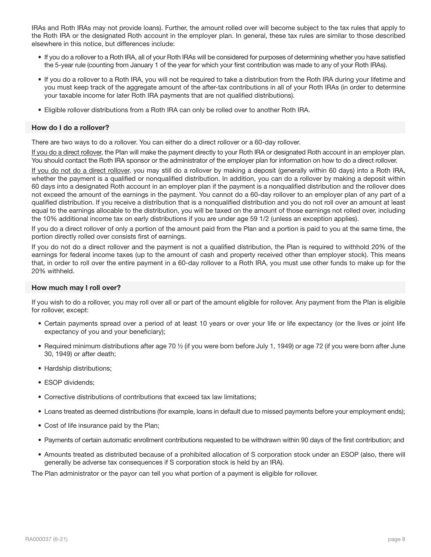IRAs and Roth IRAs may not provide loans). Further, the amount rolled over will become subject to the tax rules that apply to the Roth IRA or the designated Roth account in the employer plan. In general, these tax rules are similar to those described elsewhere in this notice, but differences include:

- If you do a rollover to a Roth IRA, all of your Roth IRAs will be considered for purposes of determining whether you have satisfied the 5-year rule (counting from January 1 of the year for which your first contribution was made to any of your Roth IRAs).
- If you do a rollover to a Roth IRA, you will not be required to take a distribution from the Roth IRA during your lifetime and you must keep track of the aggregate amount of the after-tax contributions in all of your Roth IRAs (in order to determine your taxable income for later Roth IRA payments that are not qualified distributions).
- Eligible rollover distributions from a Roth IRA can only be rolled over to another Roth IRA.

# How do I do a rollover?

There are two ways to do a rollover. You can either do a direct rollover or a 60-day rollover.

If you do a direct rollover, the Plan will make the payment directly to your Roth IRA or designated Roth account in an employer plan. You should contact the Roth IRA sponsor or the administrator of the employer plan for information on how to do a direct rollover.

If you do not do a direct rollover, you may still do a rollover by making a deposit (generally within 60 days) into a Roth IRA, whether the payment is a qualified or nonqualified distribution. In addition, you can do a rollover by making a deposit within 60 days into a designated Roth account in an employer plan if the payment is a nonqualified distribution and the rollover does not exceed the amount of the earnings in the payment. You cannot do a 60-day rollover to an employer plan of any part of a qualified distribution. If you receive a distribution that is a nonqualified distribution and you do not roll over an amount at least equal to the earnings allocable to the distribution, you will be taxed on the amount of those earnings not rolled over, including the 10% additional income tax on early distributions if you are under age 59 1/2 (unless an exception applies).

If you do a direct rollover of only a portion of the amount paid from the Plan and a portion is paid to you at the same time, the portion directly rolled over consists first of earnings.

If you do not do a direct rollover and the payment is not a qualified distribution, the Plan is required to withhold 20% of the earnings for federal income taxes (up to the amount of cash and property received other than employer stock). This means that, in order to roll over the entire payment in a 60-day rollover to a Roth IRA, you must use other funds to make up for the 20% withheld.

# How much may I roll over?

If you wish to do a rollover, you may roll over all or part of the amount eligible for rollover. Any payment from the Plan is eligible for rollover, except:

- Certain payments spread over a period of at least 10 years or over your life or life expectancy (or the lives or joint life expectancy of you and your beneficiary);
- Required minimum distributions after age 70 ½ (if you were born before July 1, 1949) or age 72 (if you were born after June 30, 1949) or after death;
- Hardship distributions;
- ESOP dividends;
- Corrective distributions of contributions that exceed tax law limitations;
- Loans treated as deemed distributions (for example, loans in default due to missed payments before your employment ends);
- Cost of life insurance paid by the Plan;
- Payments of certain automatic enrollment contributions requested to be withdrawn within 90 days of the first contribution; and
- Amounts treated as distributed because of a prohibited allocation of S corporation stock under an ESOP (also, there will generally be adverse tax consequences if S corporation stock is held by an IRA).

The Plan administrator or the payor can tell you what portion of a payment is eligible for rollover.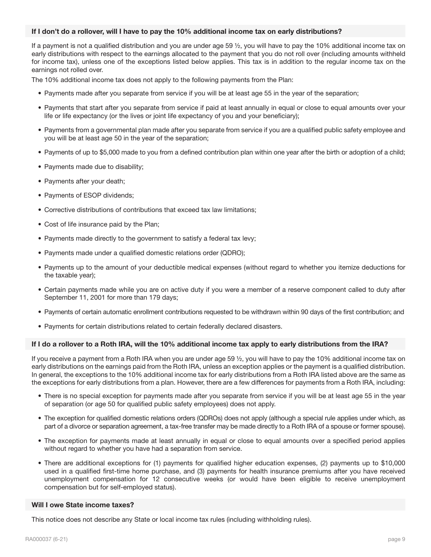# If I don't do a rollover, will I have to pay the 10% additional income tax on early distributions?

If a payment is not a qualified distribution and you are under age 59 ½, you will have to pay the 10% additional income tax on early distributions with respect to the earnings allocated to the payment that you do not roll over (including amounts withheld for income tax), unless one of the exceptions listed below applies. This tax is in addition to the regular income tax on the earnings not rolled over.

The 10% additional income tax does not apply to the following payments from the Plan:

- Payments made after you separate from service if you will be at least age 55 in the year of the separation;
- Payments that start after you separate from service if paid at least annually in equal or close to equal amounts over your life or life expectancy (or the lives or joint life expectancy of you and your beneficiary);
- Payments from a governmental plan made after you separate from service if you are a qualified public safety employee and you will be at least age 50 in the year of the separation;
- Payments of up to \$5,000 made to you from a defined contribution plan within one year after the birth or adoption of a child;
- Payments made due to disability;
- Payments after your death;
- Payments of ESOP dividends;
- Corrective distributions of contributions that exceed tax law limitations;
- Cost of life insurance paid by the Plan;
- Payments made directly to the government to satisfy a federal tax levy;
- Payments made under a qualified domestic relations order (QDRO);
- Payments up to the amount of your deductible medical expenses (without regard to whether you itemize deductions for the taxable year);
- Certain payments made while you are on active duty if you were a member of a reserve component called to duty after September 11, 2001 for more than 179 days;
- Payments of certain automatic enrollment contributions requested to be withdrawn within 90 days of the first contribution; and
- Payments for certain distributions related to certain federally declared disasters.

### If I do a rollover to a Roth IRA, will the 10% additional income tax apply to early distributions from the IRA?

If you receive a payment from a Roth IRA when you are under age 59 ½, you will have to pay the 10% additional income tax on early distributions on the earnings paid from the Roth IRA, unless an exception applies or the payment is a qualified distribution. In general, the exceptions to the 10% additional income tax for early distributions from a Roth IRA listed above are the same as the exceptions for early distributions from a plan. However, there are a few differences for payments from a Roth IRA, including:

- There is no special exception for payments made after you separate from service if you will be at least age 55 in the year of separation (or age 50 for qualified public safety employees) does not apply.
- The exception for qualified domestic relations orders (QDROs) does not apply (although a special rule applies under which, as part of a divorce or separation agreement, a tax-free transfer may be made directly to a Roth IRA of a spouse or former spouse).
- The exception for payments made at least annually in equal or close to equal amounts over a specified period applies without regard to whether you have had a separation from service.
- There are additional exceptions for (1) payments for qualified higher education expenses, (2) payments up to \$10,000 used in a qualified first-time home purchase, and (3) payments for health insurance premiums after you have received unemployment compensation for 12 consecutive weeks (or would have been eligible to receive unemployment compensation but for self-employed status).

### Will I owe State income taxes?

This notice does not describe any State or local income tax rules (including withholding rules).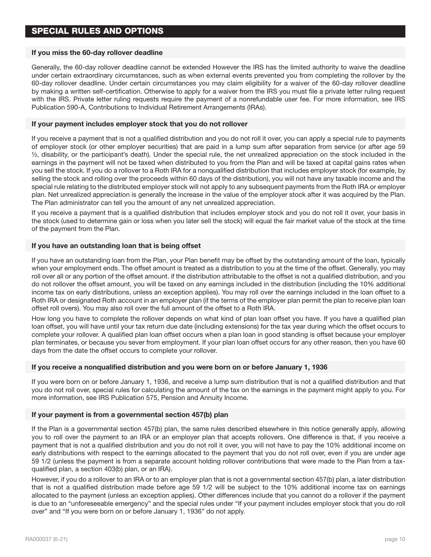# If you miss the 60-day rollover deadline

Generally, the 60-day rollover deadline cannot be extended However the IRS has the limited authority to waive the deadline under certain extraordinary circumstances, such as when external events prevented you from completing the rollover by the 60-day rollover deadline. Under certain circumstances you may claim eligibility for a waiver of the 60-day rollover deadline by making a written self-certification. Otherwise to apply for a waiver from the IRS you must file a private letter ruling request with the IRS. Private letter ruling requests require the payment of a nonrefundable user fee. For more information, see IRS Publication 590-A, Contributions to Individual Retirement Arrangements (IRAs).

# If your payment includes employer stock that you do not rollover

If you receive a payment that is not a qualified distribution and you do not roll it over, you can apply a special rule to payments of employer stock (or other employer securities) that are paid in a lump sum after separation from service (or after age 59 ½, disability, or the participant's death). Under the special rule, the net unrealized appreciation on the stock included in the earnings in the payment will not be taxed when distributed to you from the Plan and will be taxed at capital gains rates when you sell the stock. If you do a rollover to a Roth IRA for a nonqualified distribution that includes employer stock (for example, by selling the stock and rolling over the proceeds within 60 days of the distribution), you will not have any taxable income and the special rule relating to the distributed employer stock will not apply to any subsequent payments from the Roth IRA or employer plan. Net unrealized appreciation is generally the increase in the value of the employer stock after it was acquired by the Plan. The Plan administrator can tell you the amount of any net unrealized appreciation.

If you receive a payment that is a qualified distribution that includes employer stock and you do not roll it over, your basis in the stock (used to determine gain or loss when you later sell the stock) will equal the fair market value of the stock at the time of the payment from the Plan.

# If you have an outstanding loan that is being offset

If you have an outstanding loan from the Plan, your Plan benefit may be offset by the outstanding amount of the loan, typically when your employment ends. The offset amount is treated as a distribution to you at the time of the offset. Generally, you may roll over all or any portion of the offset amount. if the distribution attributable to the offset is not a qualified distribution, and you do not rollover the offset amount, you will be taxed on any earnings included in the distribution (including the 10% additional income tax on early distributions, unless an exception applies). You may roll over the earnings included in the loan offset to a Roth IRA or designated Roth account in an employer plan (if the terms of the employer plan permit the plan to receive plan loan offset roll overs). You may also roll over the full amount of the offset to a Roth IRA.

How long you have to complete the rollover depends on what kind of plan loan offset you have. If you have a qualified plan loan offset, you will have until your tax return due date (including extensions) for the tax year during which the offset occurs to complete your rollover. A qualified plan loan offset occurs when a plan loan in good standing is offset because your employer plan terminates, or because you sever from employment. If your plan loan offset occurs for any other reason, then you have 60 days from the date the offset occurs to complete your rollover.

### If you receive a nonqualified distribution and you were born on or before January 1, 1936

If you were born on or before January 1, 1936, and receive a lump sum distribution that is not a qualified distribution and that you do not roll over, special rules for calculating the amount of the tax on the earnings in the payment might apply to you. For more information, see IRS Publication 575, Pension and Annuity Income.

### If your payment is from a governmental section 457(b) plan

If the Plan is a governmental section 457(b) plan, the same rules described elsewhere in this notice generally apply, allowing you to roll over the payment to an IRA or an employer plan that accepts rollovers. One difference is that, if you receive a payment that is not a qualified distribution and you do not roll it over, you will not have to pay the 10% additional income on early distributions with respect to the earnings allocated to the payment that you do not roll over, even if you are under age 59 1/2 (unless the payment is from a separate account holding rollover contributions that were made to the Plan from a taxqualified plan, a section 403(b) plan, or an IRA).

However, if you do a rollover to an IRA or to an employer plan that is not a governmental section 457(b) plan, a later distribution that is not a qualified distribution made before age 59 1/2 will be subject to the 10% additional income tax on earnings allocated to the payment (unless an exception applies). Other differences include that you cannot do a rollover if the payment is due to an "unforeseeable emergency" and the special rules under "If your payment includes employer stock that you do roll over" and "If you were born on or before January 1, 1936" do not apply.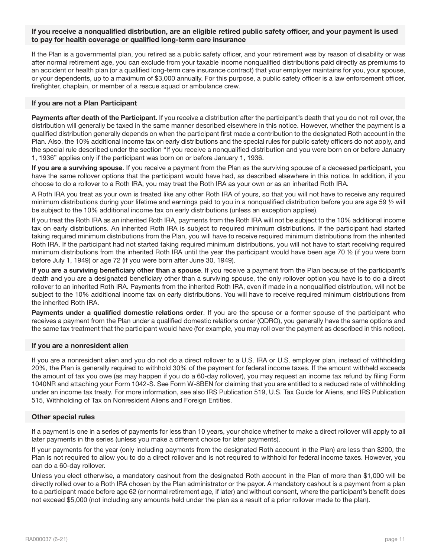# If you receive a nonqualified distribution, are an eligible retired public safety officer, and your payment is used to pay for health coverage or qualified long-term care insurance

If the Plan is a governmental plan, you retired as a public safety officer, and your retirement was by reason of disability or was after normal retirement age, you can exclude from your taxable income nonqualified distributions paid directly as premiums to an accident or health plan (or a qualified long-term care insurance contract) that your employer maintains for you, your spouse, or your dependents, up to a maximum of \$3,000 annually. For this purpose, a public safety officer is a law enforcement officer, firefighter, chaplain, or member of a rescue squad or ambulance crew.

### If you are not a Plan Participant

Payments after death of the Participant. If you receive a distribution after the participant's death that you do not roll over, the distribution will generally be taxed in the same manner described elsewhere in this notice. However, whether the payment is a qualified distribution generally depends on when the participant first made a contribution to the designated Roth account in the Plan. Also, the 10% additional income tax on early distributions and the special rules for public safety officers do not apply, and the special rule described under the section "If you receive a nonqualified distribution and you were born on or before January 1, 1936" applies only if the participant was born on or before January 1, 1936.

If you are a surviving spouse. If you receive a payment from the Plan as the surviving spouse of a deceased participant, you have the same rollover options that the participant would have had, as described elsewhere in this notice. In addition, if you choose to do a rollover to a Roth IRA, you may treat the Roth IRA as your own or as an inherited Roth IRA.

A Roth IRA you treat as your own is treated like any other Roth IRA of yours, so that you will not have to receive any required minimum distributions during your lifetime and earnings paid to you in a nonqualified distribution before you are age 59 ½ will be subject to the 10% additional income tax on early distributions (unless an exception applies).

If you treat the Roth IRA as an inherited Roth IRA, payments from the Roth IRA will not be subject to the 10% additional income tax on early distributions. An inherited Roth IRA is subject to required minimum distributions. If the participant had started taking required minimum distributions from the Plan, you will have to receive required minimum distributions from the inherited Roth IRA. If the participant had not started taking required minimum distributions, you will not have to start receiving required minimum distributions from the inherited Roth IRA until the year the participant would have been age 70 ½ (if you were born before July 1, 1949) or age 72 (if you were born after June 30, 1949).

If you are a surviving beneficiary other than a spouse. If you receive a payment from the Plan because of the participant's death and you are a designated beneficiary other than a surviving spouse, the only rollover option you have is to do a direct rollover to an inherited Roth IRA. Payments from the inherited Roth IRA, even if made in a nonqualified distribution, will not be subject to the 10% additional income tax on early distributions. You will have to receive required minimum distributions from the inherited Roth IRA.

Payments under a qualified domestic relations order. If you are the spouse or a former spouse of the participant who receives a payment from the Plan under a qualified domestic relations order (QDRO), you generally have the same options and the same tax treatment that the participant would have (for example, you may roll over the payment as described in this notice).

### If you are a nonresident alien

If you are a nonresident alien and you do not do a direct rollover to a U.S. IRA or U.S. employer plan, instead of withholding 20%, the Plan is generally required to withhold 30% of the payment for federal income taxes. If the amount withheld exceeds the amount of tax you owe (as may happen if you do a 60-day rollover), you may request an income tax refund by filing Form 1040NR and attaching your Form 1042-S. See Form W-8BEN for claiming that you are entitled to a reduced rate of withholding under an income tax treaty. For more information, see also IRS Publication 519, U.S. Tax Guide for Aliens, and IRS Publication 515, Withholding of Tax on Nonresident Aliens and Foreign Entities.

### Other special rules

If a payment is one in a series of payments for less than 10 years, your choice whether to make a direct rollover will apply to all later payments in the series (unless you make a different choice for later payments).

If your payments for the year (only including payments from the designated Roth account in the Plan) are less than \$200, the Plan is not required to allow you to do a direct rollover and is not required to withhold for federal income taxes. However, you can do a 60-day rollover.

Unless you elect otherwise, a mandatory cashout from the designated Roth account in the Plan of more than \$1,000 will be directly rolled over to a Roth IRA chosen by the Plan administrator or the payor. A mandatory cashout is a payment from a plan to a participant made before age 62 (or normal retirement age, if later) and without consent, where the participant's benefit does not exceed \$5,000 (not including any amounts held under the plan as a result of a prior rollover made to the plan).